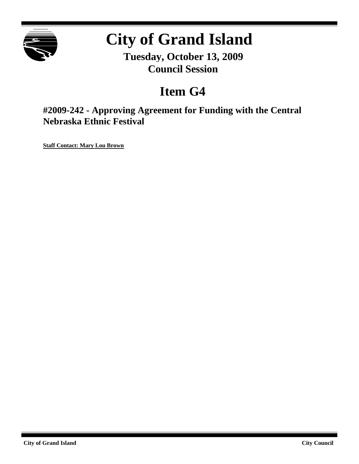

# **City of Grand Island**

**Tuesday, October 13, 2009 Council Session**

## **Item G4**

**#2009-242 - Approving Agreement for Funding with the Central Nebraska Ethnic Festival**

**Staff Contact: Mary Lou Brown**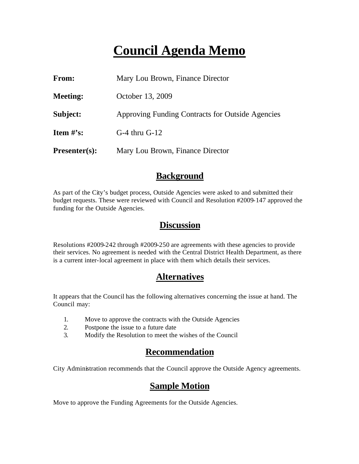## **Council Agenda Memo**

| From:                | Mary Lou Brown, Finance Director                 |  |
|----------------------|--------------------------------------------------|--|
| <b>Meeting:</b>      | October 13, 2009                                 |  |
| Subject:             | Approving Funding Contracts for Outside Agencies |  |
| <b>Item</b> $\#$ 's: | $G-4$ thru $G-12$                                |  |
| $Presenter(s):$      | Mary Lou Brown, Finance Director                 |  |

## **Background**

As part of the City's budget process, Outside Agencies were asked to and submitted their budget requests. These were reviewed with Council and Resolution #2009-147 approved the funding for the Outside Agencies.

## **Discussion**

Resolutions #2009-242 through #2009-250 are agreements with these agencies to provide their services. No agreement is needed with the Central District Health Department, as there is a current inter-local agreement in place with them which details their services.

## **Alternatives**

It appears that the Council has the following alternatives concerning the issue at hand. The Council may:

- 1. Move to approve the contracts with the Outside Agencies
- 2. Postpone the issue to a future date
- 3. Modify the Resolution to meet the wishes of the Council

## **Recommendation**

City Administration recommends that the Council approve the Outside Agency agreements.

## **Sample Motion**

Move to approve the Funding Agreements for the Outside Agencies.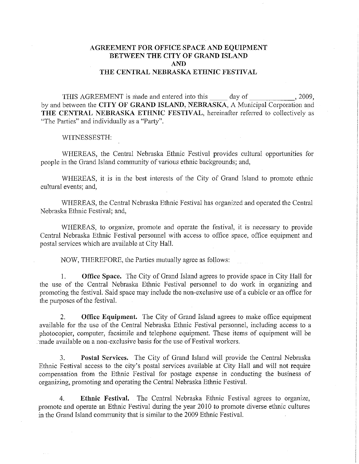#### **AGREEMENT FOR OFFICE SPACE AND EQUIPMENT** BETWEEN THE CITY OF GRAND ISLAND **AND** THE CENTRAL NEBRASKA ETHNIC FESTIVAL

THIS AGREEMENT is made and entered into this day of . 2009. by and between the CITY OF GRAND ISLAND, NEBRASKA, A Municipal Corporation and THE CENTRAL NEBRASKA ETHNIC FESTIVAL, hereinafter referred to collectively as "The Parties" and individually as a "Party".

WITNESSESTH:

WHEREAS, the Central Nebraska Ethnic Festival provides cultural opportunities for people in the Grand Island community of various ethnic backgrounds; and,

WHEREAS, it is in the best interests of the City of Grand Island to promote ethnic cultural events; and,

WHEREAS, the Central Nebraska Ethnic Festival has organized and operated the Central Nebraska Ethnic Festival; and,

WHEREAS, to organize, promote and operate the festival, it is necessary to provide Central Nebraska Ethnic Festival personnel with access to office space, office equipment and postal services which are available at City Hall.

NOW, THEREFORE, the Parties mutually agree as follows:

**Office Space.** The City of Grand Island agrees to provide space in City Hall for  $1.$ the use of the Central Nebraska Ethnic Festival personnel to do work in organizing and promoting the festival. Said space may include the non-exclusive use of a cubicle or an office for the purposes of the festival.

 $2.$ Office Equipment. The City of Grand Island agrees to make office equipment available for the use of the Central Nebraska Ethnic Festival personnel, including access to a photocopier, computer, facsimile and telephone equipment. These items of equipment will be made available on a non-exclusive basis for the use of Festival workers.

Postal Services. The City of Grand Island will provide the Central Nebraska  $\mathcal{E}$ Ethnic Festival access to the city's postal services available at City Hall and will not require compensation from the Ethnic Festival for postage expense in conducting the business of organizing, promoting and operating the Central Nebraska Ethnic Festival.

Ethnic Festival. The Central Nebraska Ethnic Festival agrees to organize,  $\overline{4}$ promote and operate an Ethnic Festival during the year 2010 to promote diverse ethnic cultures in the Grand Island community that is similar to the 2009 Ethnic Festival.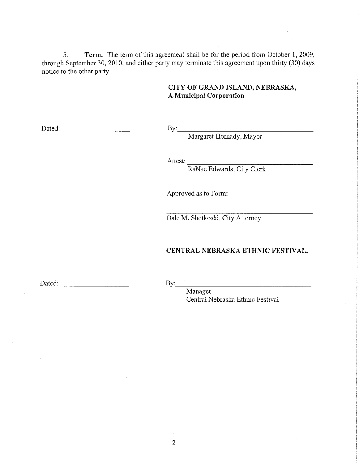5. Term. The term of this agreement shall be for the period from October 1, 2009, through September 30, 2010, and either party may terminate this agreement upon thirty (30) days notice to the other party.

#### CITY OF GRAND ISLAND, NEBRASKA, **A Municipal Corporation**

Dated: the contract of the contract of the contract of the contract of the contract of the contract of the contract of the contract of the contract of the contract of the contract of the contract of the contract of the con

 $\mathbf{By:}$ 

Margaret Hornady, Mayor

Attest:

RaNae Edwards, City Clerk

Approved as to Form:

Dale M. Shotkoski, City Attorney

#### CENTRAL NEBRASKA ETHNIC FESTIVAL,

Dated:

By:

Manager Central Nebraska Ethnic Festival

 $\overline{2}$